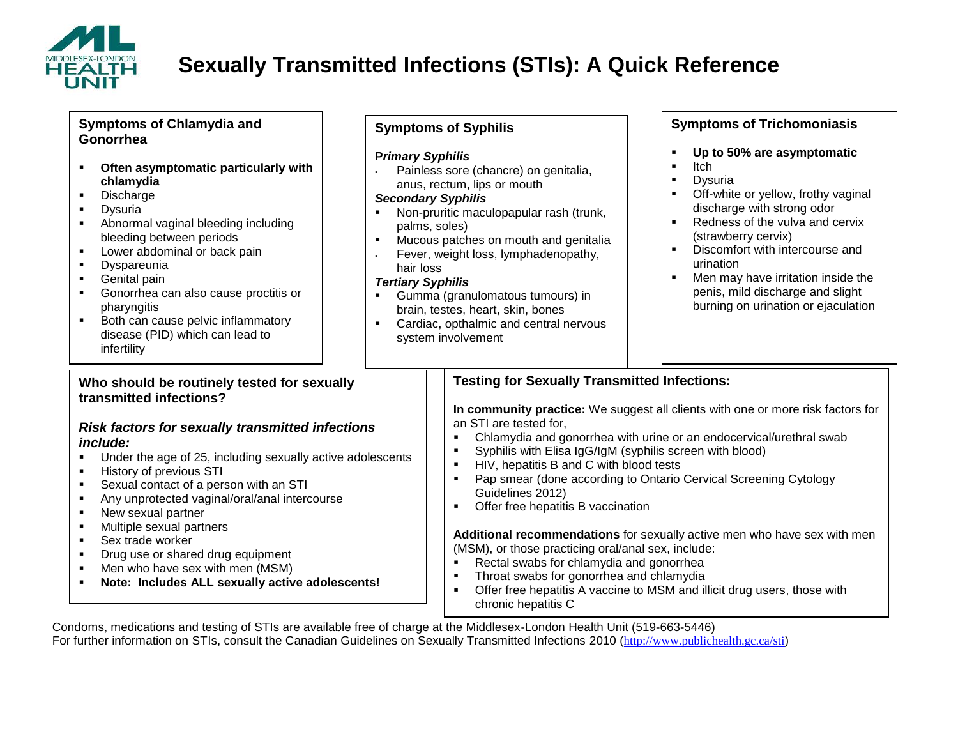

# **Sexually Transmitted Infections (STIs): A Quick Reference**

 Painless sore (chancre) on genitalia, anus, rectum, lips or mouth

• Non-pruritic maculopapular rash (trunk,

**Mucous patches on mouth and genitalia** Fever, weight loss, lymphadenopathy,

 Gumma (granulomatous tumours) in brain, testes, heart, skin, bones **Cardiac, opthalmic and central nervous** 

**Symptoms of Syphilis** 

**P***rimary Syphilis*

*Secondary Syphilis*

palms, soles)

system involvement

hair loss *Tertiary Syphilis*

#### **Symptoms of Chlamydia and Gonorrhea**

- **Often asymptomatic particularly with chlamydia**
- **Discharge**
- Dysuria
- Abnormal vaginal bleeding including bleeding between periods
- **Lower abdominal or back pain**
- **Dyspareunia**
- Genital pain
- Gonorrhea can also cause proctitis or pharyngitis
- **Both can cause pelvic inflammatory** disease (PID) which can lead to infertility

### **Symptoms of Trichomoniasis**

- **Up to 50% are asymptomatic**
- $\blacksquare$ Itch
	- **Dysuria**
	- Off-white or yellow, frothy vaginal discharge with strong odor
- Redness of the vulva and cervix (strawberry cervix)
- **•** Discomfort with intercourse and urination
- Men may have irritation inside the penis, mild discharge and slight burning on urination or ejaculation

#### **Who should be routinely tested for sexually transmitted infections?**

#### *Risk factors for sexually transmitted infections include:*

- Under the age of 25, including sexually active adolescents
- **History of previous STI**
- Sexual contact of a person with an STI
- Any unprotected vaginal/oral/anal intercourse
- New sexual partner
- Multiple sexual partners
- **Sex trade worker**
- **•** Drug use or shared drug equipment
- Men who have sex with men (MSM)
- **Note: Includes ALL sexually active adolescents!**

## **Testing for Sexually Transmitted Infections:**

**In community practice:** We suggest all clients with one or more risk factors for an STI are tested for,

- Chlamydia and gonorrhea with urine or an endocervical/urethral swab
- Syphilis with Elisa IgG/IgM (syphilis screen with blood)
- **HIV, hepatitis B and C with blood tests**
- Pap smear (done according to Ontario Cervical Screening Cytology Guidelines 2012)
- **•** Offer free hepatitis B vaccination

**Additional recommendations** for sexually active men who have sex with men (MSM), or those practicing oral/anal sex, include:

- Rectal swabs for chlamydia and gonorrhea
- **F** Throat swabs for gonorrhea and chlamydia
- **Offer free hepatitis A vaccine to MSM and illicit drug users, those with** chronic hepatitis C

Condoms, medications and testing of STIs are available free of charge at the Middlesex-London Health Unit (519-663-5446) For further information on STIs, consult the Canadian Guidelines on Sexually Transmitted Infections 2010 (<http://www.publichealth.gc.ca/sti>)